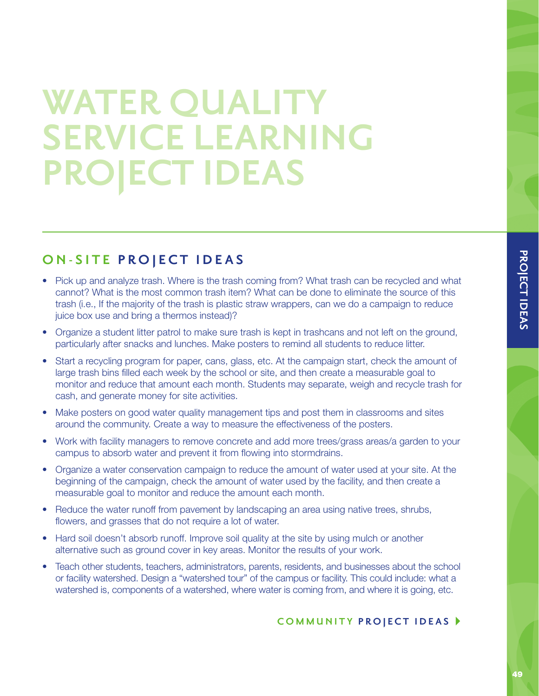## **WATER QUALITY SERVICE LEARNING PROJECT IDEAS**

## **ON-SITE PROJECT IDEAS**

- Pick up and analyze trash. Where is the trash coming from? What trash can be recycled and what cannot? What is the most common trash item? What can be done to eliminate the source of this trash (i.e., If the majority of the trash is plastic straw wrappers, can we do a campaign to reduce juice box use and bring a thermos instead)?
- Organize a student litter patrol to make sure trash is kept in trashcans and not left on the ground, particularly after snacks and lunches. Make posters to remind all students to reduce litter.
- Start a recycling program for paper, cans, glass, etc. At the campaign start, check the amount of large trash bins filled each week by the school or site, and then create a measurable goal to monitor and reduce that amount each month. Students may separate, weigh and recycle trash for cash, and generate money for site activities.
- Make posters on good water quality management tips and post them in classrooms and sites around the community. Create a way to measure the effectiveness of the posters.
- Work with facility managers to remove concrete and add more trees/grass areas/a garden to your campus to absorb water and prevent it from flowing into stormdrains.
- Organize a water conservation campaign to reduce the amount of water used at your site. At the beginning of the campaign, check the amount of water used by the facility, and then create a measurable goal to monitor and reduce the amount each month.
- Reduce the water runoff from pavement by landscaping an area using native trees, shrubs, flowers, and grasses that do not require a lot of water.
- Hard soil doesn't absorb runoff. Improve soil quality at the site by using mulch or another alternative such as ground cover in key areas. Monitor the results of your work.
- Teach other students, teachers, administrators, parents, residents, and businesses about the school or facility watershed. Design a "watershed tour" of the campus or facility. This could include: what a watershed is, components of a watershed, where water is coming from, and where it is going, etc.

## COMMUNITY PROJECT IDEAS  $\blacktriangleright$